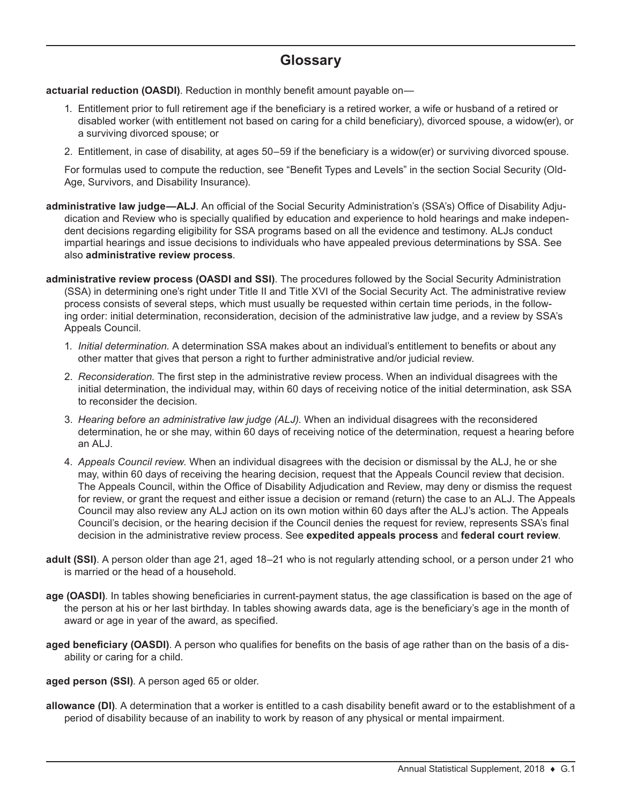# **Glossary**

**actuarial reduction (OASDI)**. Reduction in monthly benefit amount payable on—

- 1. Entitlement prior to full retirement age if the beneficiary is a retired worker, a wife or husband of a retired or disabled worker (with entitlement not based on caring for a child beneficiary), divorced spouse, a widow(er), or a surviving divorced spouse; or
- 2. Entitlement, in case of disability, at ages 50–59 if the beneficiary is a widow(er) or surviving divorced spouse.

For formulas used to compute the reduction, see "Benefit Types and Levels" in the section Social Security (Old-Age, Survivors, and Disability Insurance).

- **administrative law judge—ALJ**. An official of the Social Security Administration's (SSA's) Office of Disability Adjudication and Review who is specially qualified by education and experience to hold hearings and make independent decisions regarding eligibility for SSA programs based on all the evidence and testimony. ALJs conduct impartial hearings and issue decisions to individuals who have appealed previous determinations by SSA. See also **administrative review process**.
- **administrative review process (OASDI and SSI)**. The procedures followed by the Social Security Administration (SSA) in determining one's right under Title II and Title XVI of the Social Security Act. The administrative review process consists of several steps, which must usually be requested within certain time periods, in the following order: initial determination, reconsideration, decision of the administrative law judge, and a review by SSA's Appeals Council.
	- 1. *Initial determination.* A determination SSA makes about an individual's entitlement to benefits or about any other matter that gives that person a right to further administrative and/or judicial review.
	- 2. *Reconsideration.* The first step in the administrative review process. When an individual disagrees with the initial determination, the individual may, within 60 days of receiving notice of the initial determination, ask SSA to reconsider the decision.
	- 3. *Hearing before an administrative law judge (ALJ).* When an individual disagrees with the reconsidered determination, he or she may, within 60 days of receiving notice of the determination, request a hearing before an ALJ.
	- 4. *Appeals Council review.* When an individual disagrees with the decision or dismissal by the ALJ, he or she may, within 60 days of receiving the hearing decision, request that the Appeals Council review that decision. The Appeals Council, within the Office of Disability Adjudication and Review, may deny or dismiss the request for review, or grant the request and either issue a decision or remand (return) the case to an ALJ. The Appeals Council may also review any ALJ action on its own motion within 60 days after the ALJ's action. The Appeals Council's decision, or the hearing decision if the Council denies the request for review, represents SSA's final decision in the administrative review process. See **expedited appeals process** and **federal court review**.
- **adult (SSI)**. A person older than age 21, aged 18–21 who is not regularly attending school, or a person under 21 who is married or the head of a household.
- **age (OASDI)**. In tables showing beneficiaries in current-payment status, the age classification is based on the age of the person at his or her last birthday. In tables showing awards data, age is the beneficiary's age in the month of award or age in year of the award, as specified.
- **aged beneficiary (OASDI)**. A person who qualifies for benefits on the basis of age rather than on the basis of a disability or caring for a child.
- **aged person (SSI)**. A person aged 65 or older.
- **allowance (DI)**. A determination that a worker is entitled to a cash disability benefit award or to the establishment of a period of disability because of an inability to work by reason of any physical or mental impairment.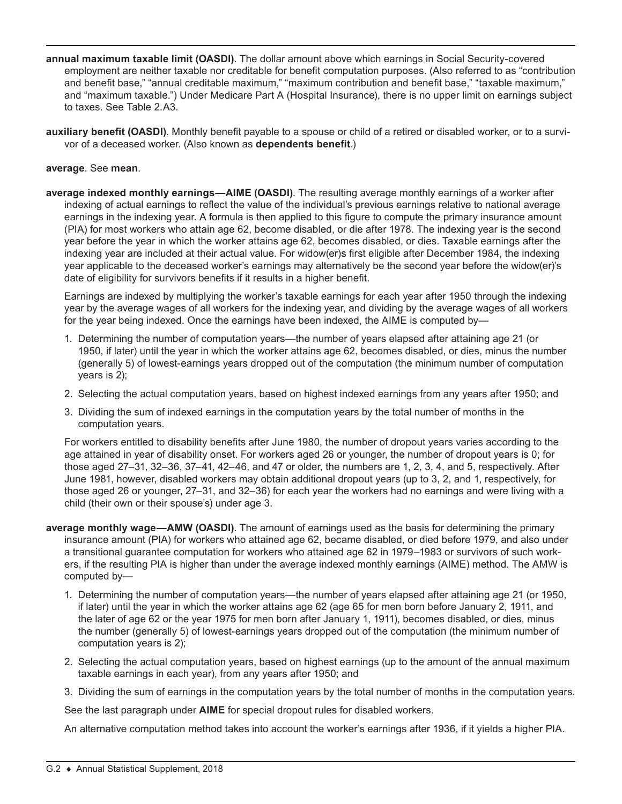- **annual maximum taxable limit (OASDI)**. The dollar amount above which earnings in Social Security-covered employment are neither taxable nor creditable for benefit computation purposes. (Also referred to as "contribution and benefit base," "annual creditable maximum," "maximum contribution and benefit base," "taxable maximum," and "maximum taxable.") Under Medicare Part A (Hospital Insurance), there is no upper limit on earnings subject to taxes. See Table 2.A3.
- **auxiliary benefit (OASDI)**. Monthly benefit payable to a spouse or child of a retired or disabled worker, or to a survivor of a deceased worker. (Also known as **dependents benefit**.)

## **average**. See **mean**.

**average indexed monthly earnings—AIME (OASDI)**. The resulting average monthly earnings of a worker after indexing of actual earnings to reflect the value of the individual's previous earnings relative to national average earnings in the indexing year. A formula is then applied to this figure to compute the primary insurance amount (PIA) for most workers who attain age 62, become disabled, or die after 1978. The indexing year is the second year before the year in which the worker attains age 62, becomes disabled, or dies. Taxable earnings after the indexing year are included at their actual value. For widow(er)s first eligible after December 1984, the indexing year applicable to the deceased worker's earnings may alternatively be the second year before the widow(er)'s date of eligibility for survivors benefits if it results in a higher benefit.

Earnings are indexed by multiplying the worker's taxable earnings for each year after 1950 through the indexing year by the average wages of all workers for the indexing year, and dividing by the average wages of all workers for the year being indexed. Once the earnings have been indexed, the AIME is computed by-

- 1. Determining the number of computation years—the number of years elapsed after attaining age 21 (or 1950, if later) until the year in which the worker attains age 62, becomes disabled, or dies, minus the number (generally 5) of lowest-earnings years dropped out of the computation (the minimum number of computation years is 2);
- 2. Selecting the actual computation years, based on highest indexed earnings from any years after 1950; and
- 3. Dividing the sum of indexed earnings in the computation years by the total number of months in the computation years.

For workers entitled to disability benefits after June 1980, the number of dropout years varies according to the age attained in year of disability onset. For workers aged 26 or younger, the number of dropout years is 0; for those aged 27–31, 32–36, 37–41, 42–46, and 47 or older, the numbers are 1, 2, 3, 4, and 5, respectively. After June 1981, however, disabled workers may obtain additional dropout years (up to 3, 2, and 1, respectively, for those aged 26 or younger, 27–31, and 32–36) for each year the workers had no earnings and were living with a child (their own or their spouse's) under age 3.

- **average monthly wage—AMW (OASDI)**. The amount of earnings used as the basis for determining the primary insurance amount (PIA) for workers who attained age 62, became disabled, or died before 1979, and also under a transitional guarantee computation for workers who attained age 62 in 1979–1983 or survivors of such workers, if the resulting PIA is higher than under the average indexed monthly earnings (AIME) method. The AMW is computed by—
	- 1. Determining the number of computation years—the number of years elapsed after attaining age 21 (or 1950, if later) until the year in which the worker attains age 62 (age 65 for men born before January 2, 1911, and the later of age 62 or the year 1975 for men born after January 1, 1911), becomes disabled, or dies, minus the number (generally 5) of lowest-earnings years dropped out of the computation (the minimum number of computation years is 2);
	- 2. Selecting the actual computation years, based on highest earnings (up to the amount of the annual maximum taxable earnings in each year), from any years after 1950; and
	- 3. Dividing the sum of earnings in the computation years by the total number of months in the computation years.

See the last paragraph under **AIME** for special dropout rules for disabled workers.

An alternative computation method takes into account the worker's earnings after 1936, if it yields a higher PIA.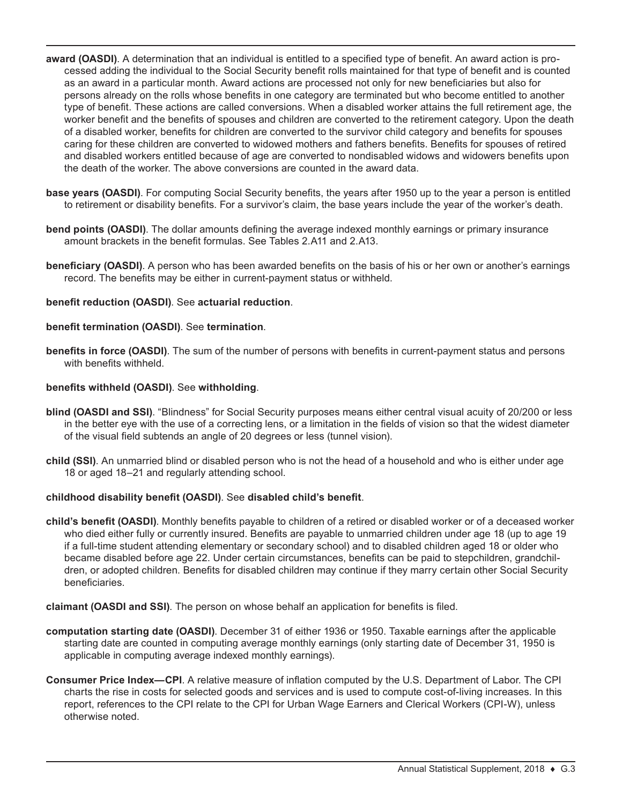- **award (OASDI)**. A determination that an individual is entitled to a specified type of benefit. An award action is processed adding the individual to the Social Security benefit rolls maintained for that type of benefit and is counted as an award in a particular month. Award actions are processed not only for new beneficiaries but also for persons already on the rolls whose benefits in one category are terminated but who become entitled to another type of benefit. These actions are called conversions. When a disabled worker attains the full retirement age, the worker benefit and the benefits of spouses and children are converted to the retirement category. Upon the death of a disabled worker, benefits for children are converted to the survivor child category and benefits for spouses caring for these children are converted to widowed mothers and fathers benefits. Benefits for spouses of retired and disabled workers entitled because of age are converted to nondisabled widows and widowers benefits upon the death of the worker. The above conversions are counted in the award data.
- **base years (OASDI)**. For computing Social Security benefits, the years after 1950 up to the year a person is entitled to retirement or disability benefits. For a survivor's claim, the base years include the year of the worker's death.
- **bend points (OASDI)**. The dollar amounts defining the average indexed monthly earnings or primary insurance amount brackets in the benefit formulas. See Tables 2.A11 and 2.A13.
- **beneficiary (OASDI)**. A person who has been awarded benefits on the basis of his or her own or another's earnings record. The benefits may be either in current-payment status or withheld.

#### **benefit reduction (OASDI)**. See **actuarial reduction**.

#### **benefit termination (OASDI)**. See **termination**.

**benefits in force (OASDI)**. The sum of the number of persons with benefits in current-payment status and persons with benefits withheld.

#### **benefits withheld (OASDI)**. See **withholding**.

- **blind (OASDI and SSI)**. "Blindness" for Social Security purposes means either central visual acuity of 20/200 or less in the better eye with the use of a correcting lens, or a limitation in the fields of vision so that the widest diameter of the visual field subtends an angle of 20 degrees or less (tunnel vision).
- **child (SSI)**. An unmarried blind or disabled person who is not the head of a household and who is either under age 18 or aged 18–21 and regularly attending school.

#### **childhood disability benefit (OASDI)**. See **disabled child's benefit**.

- **child's benefit (OASDI)**. Monthly benefits payable to children of a retired or disabled worker or of a deceased worker who died either fully or currently insured. Benefits are payable to unmarried children under age 18 (up to age 19 if a full-time student attending elementary or secondary school) and to disabled children aged 18 or older who became disabled before age 22. Under certain circumstances, benefits can be paid to stepchildren, grandchildren, or adopted children. Benefits for disabled children may continue if they marry certain other Social Security beneficiaries.
- **claimant (OASDI and SSI)**. The person on whose behalf an application for benefits is filed.
- **computation starting date (OASDI)**. December 31 of either 1936 or 1950. Taxable earnings after the applicable starting date are counted in computing average monthly earnings (only starting date of December 31, 1950 is applicable in computing average indexed monthly earnings).
- **Consumer Price Index—CPI**. A relative measure of inflation computed by the U.S. Department of Labor. The CPI charts the rise in costs for selected goods and services and is used to compute cost-of-living increases. In this report, references to the CPI relate to the CPI for Urban Wage Earners and Clerical Workers (CPI-W), unless otherwise noted.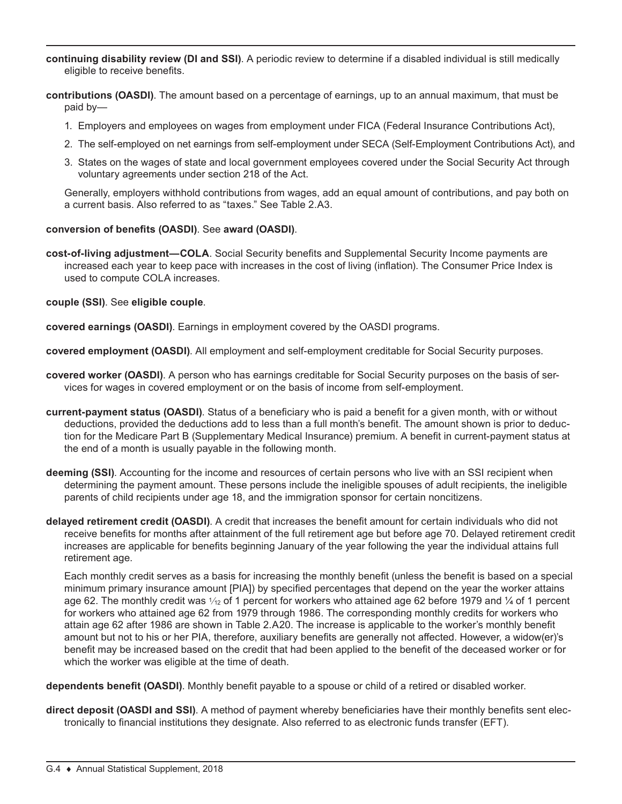- **continuing disability review (DI and SSI)**. A periodic review to determine if a disabled individual is still medically eligible to receive benefits.
- **contributions (OASDI)**. The amount based on a percentage of earnings, up to an annual maximum, that must be paid by—
	- 1. Employers and employees on wages from employment under FICA (Federal Insurance Contributions Act),
	- 2. The self-employed on net earnings from self-employment under SECA (Self-Employment Contributions Act), and
	- 3. States on the wages of state and local government employees covered under the Social Security Act through voluntary agreements under section 218 of the Act.

Generally, employers withhold contributions from wages, add an equal amount of contributions, and pay both on a current basis. Also referred to as "taxes." See Table 2.A3.

## **conversion of benefits (OASDI)**. See **award (OASDI)**.

**cost-of-living adjustment—COLA**. Social Security benefits and Supplemental Security Income payments are increased each year to keep pace with increases in the cost of living (inflation). The Consumer Price Index is used to compute COLA increases.

**couple (SSI)**. See **eligible couple**.

**covered earnings (OASDI)**. Earnings in employment covered by the OASDI programs.

**covered employment (OASDI)**. All employment and self-employment creditable for Social Security purposes.

- **covered worker (OASDI)**. A person who has earnings creditable for Social Security purposes on the basis of services for wages in covered employment or on the basis of income from self-employment.
- **current-payment status (OASDI)**. Status of a beneficiary who is paid a benefit for a given month, with or without deductions, provided the deductions add to less than a full month's benefit. The amount shown is prior to deduction for the Medicare Part B (Supplementary Medical Insurance) premium. A benefit in current-payment status at the end of a month is usually payable in the following month.
- **deeming (SSI)**. Accounting for the income and resources of certain persons who live with an SSI recipient when determining the payment amount. These persons include the ineligible spouses of adult recipients, the ineligible parents of child recipients under age 18, and the immigration sponsor for certain noncitizens.
- **delayed retirement credit (OASDI)**. A credit that increases the benefit amount for certain individuals who did not receive benefits for months after attainment of the full retirement age but before age 70. Delayed retirement credit increases are applicable for benefits beginning January of the year following the year the individual attains full retirement age.

Each monthly credit serves as a basis for increasing the monthly benefit (unless the benefit is based on a special minimum primary insurance amount [PIA]) by specified percentages that depend on the year the worker attains age 62. The monthly credit was  $\frac{1}{12}$  of 1 percent for workers who attained age 62 before 1979 and  $\frac{1}{4}$  of 1 percent for workers who attained age 62 from 1979 through 1986. The corresponding monthly credits for workers who attain age 62 after 1986 are shown in Table 2.A20. The increase is applicable to the worker's monthly benefit amount but not to his or her PIA, therefore, auxiliary benefits are generally not affected. However, a widow(er)'s benefit may be increased based on the credit that had been applied to the benefit of the deceased worker or for which the worker was eligible at the time of death.

**dependents benefit (OASDI)**. Monthly benefit payable to a spouse or child of a retired or disabled worker.

**direct deposit (OASDI and SSI)**. A method of payment whereby beneficiaries have their monthly benefits sent electronically to financial institutions they designate. Also referred to as electronic funds transfer (EFT).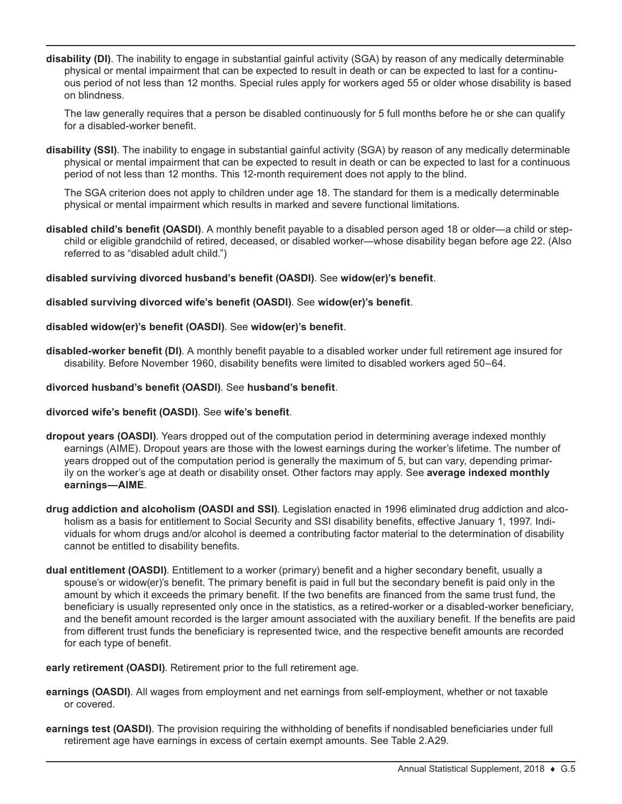**disability (DI)**. The inability to engage in substantial gainful activity (SGA) by reason of any medically determinable physical or mental impairment that can be expected to result in death or can be expected to last for a continuous period of not less than 12 months. Special rules apply for workers aged 55 or older whose disability is based on blindness.

The law generally requires that a person be disabled continuously for 5 full months before he or she can qualify for a disabled-worker benefit.

**disability (SSI)**. The inability to engage in substantial gainful activity (SGA) by reason of any medically determinable physical or mental impairment that can be expected to result in death or can be expected to last for a continuous period of not less than 12 months. This 12-month requirement does not apply to the blind.

The SGA criterion does not apply to children under age 18. The standard for them is a medically determinable physical or mental impairment which results in marked and severe functional limitations.

- **disabled child's benefit (OASDI)**. A monthly benefit payable to a disabled person aged 18 or older—a child or stepchild or eligible grandchild of retired, deceased, or disabled worker—whose disability began before age 22. (Also referred to as "disabled adult child.")
- **disabled surviving divorced husband's benefit (OASDI)**. See **widow(er)'s benefit**.

## **disabled surviving divorced wife's benefit (OASDI)**. See **widow(er)'s benefit**.

## **disabled widow(er)'s benefit (OASDI)**. See **widow(er)'s benefit**.

**disabled-worker benefit (DI)**. A monthly benefit payable to a disabled worker under full retirement age insured for disability. Before November 1960, disability benefits were limited to disabled workers aged 50–64.

## **divorced husband's benefit (OASDI)**. See **husband's benefit**.

## **divorced wife's benefit (OASDI)**. See **wife's benefit**.

- **dropout years (OASDI)**. Years dropped out of the computation period in determining average indexed monthly earnings (AIME). Dropout years are those with the lowest earnings during the worker's lifetime. The number of years dropped out of the computation period is generally the maximum of 5, but can vary, depending primarily on the worker's age at death or disability onset. Other factors may apply. See **average indexed monthly earnings—AIME**.
- **drug addiction and alcoholism (OASDI and SSI)**. Legislation enacted in 1996 eliminated drug addiction and alcoholism as a basis for entitlement to Social Security and SSI disability benefits, effective January 1, 1997. Individuals for whom drugs and/or alcohol is deemed a contributing factor material to the determination of disability cannot be entitled to disability benefits.
- **dual entitlement (OASDI)**. Entitlement to a worker (primary) benefit and a higher secondary benefit, usually a spouse's or widow(er)'s benefit. The primary benefit is paid in full but the secondary benefit is paid only in the amount by which it exceeds the primary benefit. If the two benefits are financed from the same trust fund, the beneficiary is usually represented only once in the statistics, as a retired-worker or a disabled-worker beneficiary, and the benefit amount recorded is the larger amount associated with the auxiliary benefit. If the benefits are paid from different trust funds the beneficiary is represented twice, and the respective benefit amounts are recorded for each type of benefit.

#### **early retirement (OASDI)**. Retirement prior to the full retirement age.

- **earnings (OASDI)**. All wages from employment and net earnings from self-employment, whether or not taxable or covered.
- **earnings test (OASDI)**. The provision requiring the withholding of benefits if nondisabled beneficiaries under full retirement age have earnings in excess of certain exempt amounts. See Table 2.A29.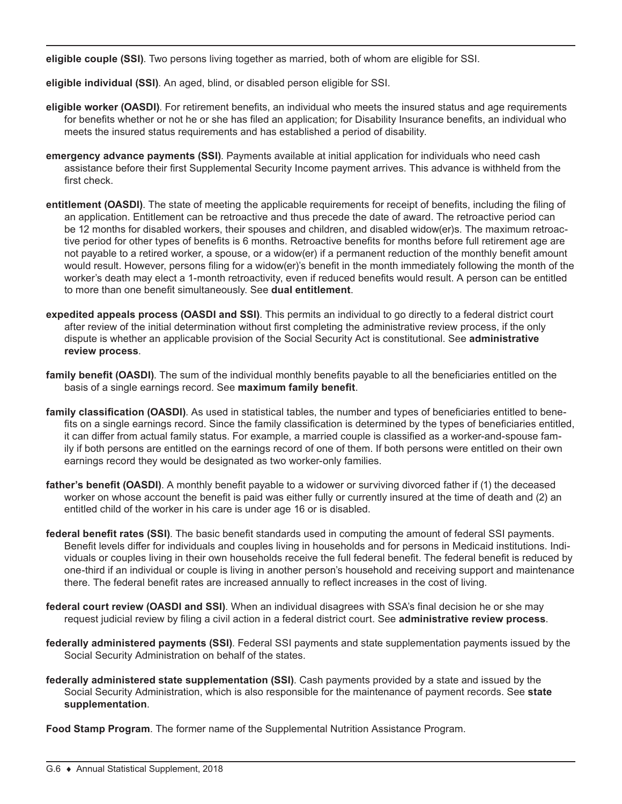**eligible couple (SSI)**. Two persons living together as married, both of whom are eligible for SSI.

**eligible individual (SSI)**. An aged, blind, or disabled person eligible for SSI.

- **eligible worker (OASDI)**. For retirement benefits, an individual who meets the insured status and age requirements for benefits whether or not he or she has filed an application; for Disability Insurance benefits, an individual who meets the insured status requirements and has established a period of disability.
- **emergency advance payments (SSI)**. Payments available at initial application for individuals who need cash assistance before their first Supplemental Security Income payment arrives. This advance is withheld from the first check.
- **entitlement (OASDI)**. The state of meeting the applicable requirements for receipt of benefits, including the filing of an application. Entitlement can be retroactive and thus precede the date of award. The retroactive period can be 12 months for disabled workers, their spouses and children, and disabled widow(er)s. The maximum retroactive period for other types of benefits is 6 months. Retroactive benefits for months before full retirement age are not payable to a retired worker, a spouse, or a widow(er) if a permanent reduction of the monthly benefit amount would result. However, persons filing for a widow(er)'s benefit in the month immediately following the month of the worker's death may elect a 1-month retroactivity, even if reduced benefits would result. A person can be entitled to more than one benefit simultaneously. See **dual entitlement**.
- **expedited appeals process (OASDI and SSI)**. This permits an individual to go directly to a federal district court after review of the initial determination without first completing the administrative review process, if the only dispute is whether an applicable provision of the Social Security Act is constitutional. See **administrative review process**.
- **family benefit (OASDI)**. The sum of the individual monthly benefits payable to all the beneficiaries entitled on the basis of a single earnings record. See **maximum family benefit**.
- **family classification (OASDI)**. As used in statistical tables, the number and types of beneficiaries entitled to benefits on a single earnings record. Since the family classification is determined by the types of beneficiaries entitled, it can differ from actual family status. For example, a married couple is classified as a worker-and-spouse family if both persons are entitled on the earnings record of one of them. If both persons were entitled on their own earnings record they would be designated as two worker-only families.
- **father's benefit (OASDI)**. A monthly benefit payable to a widower or surviving divorced father if (1) the deceased worker on whose account the benefit is paid was either fully or currently insured at the time of death and (2) an entitled child of the worker in his care is under age 16 or is disabled.
- **federal benefit rates (SSI)**. The basic benefit standards used in computing the amount of federal SSI payments. Benefit levels differ for individuals and couples living in households and for persons in Medicaid institutions. Individuals or couples living in their own households receive the full federal benefit. The federal benefit is reduced by one-third if an individual or couple is living in another person's household and receiving support and maintenance there. The federal benefit rates are increased annually to reflect increases in the cost of living.
- **federal court review (OASDI and SSI)**. When an individual disagrees with SSA's final decision he or she may request judicial review by filing a civil action in a federal district court. See **administrative review process**.
- **federally administered payments (SSI)**. Federal SSI payments and state supplementation payments issued by the Social Security Administration on behalf of the states.
- **federally administered state supplementation (SSI)**. Cash payments provided by a state and issued by the Social Security Administration, which is also responsible for the maintenance of payment records. See **state supplementation**.
- **Food Stamp Program**. The former name of the Supplemental Nutrition Assistance Program.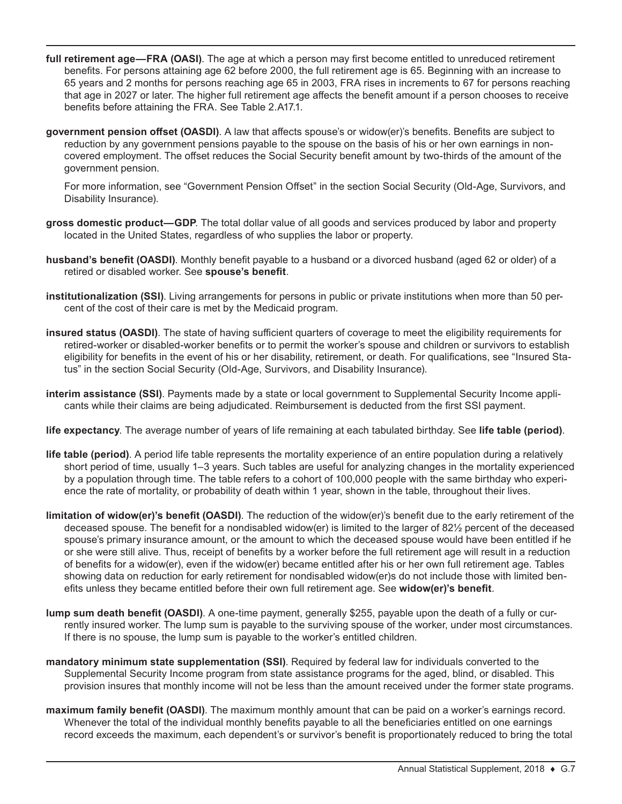- **full retirement age—FRA (OASI)**. The age at which a person may first become entitled to unreduced retirement benefits. For persons attaining age 62 before 2000, the full retirement age is 65. Beginning with an increase to 65 years and 2 months for persons reaching age 65 in 2003, FRA rises in increments to 67 for persons reaching that age in 2027 or later. The higher full retirement age affects the benefit amount if a person chooses to receive benefits before attaining the FRA. See Table 2.A17.1.
- **government pension offset (OASDI)**. A law that affects spouse's or widow(er)'s benefits. Benefits are subject to reduction by any government pensions payable to the spouse on the basis of his or her own earnings in noncovered employment. The offset reduces the Social Security benefit amount by two-thirds of the amount of the government pension.

For more information, see "Government Pension Offset" in the section Social Security (Old-Age, Survivors, and Disability Insurance).

- **gross domestic product—GDP**. The total dollar value of all goods and services produced by labor and property located in the United States, regardless of who supplies the labor or property.
- **husband's benefit (OASDI)**. Monthly benefit payable to a husband or a divorced husband (aged 62 or older) of a retired or disabled worker. See **spouse's benefit**.
- **institutionalization (SSI)**. Living arrangements for persons in public or private institutions when more than 50 percent of the cost of their care is met by the Medicaid program.
- **insured status (OASDI)**. The state of having sufficient quarters of coverage to meet the eligibility requirements for retired-worker or disabled-worker benefits or to permit the worker's spouse and children or survivors to establish eligibility for benefits in the event of his or her disability, retirement, or death. For qualifications, see "Insured Status" in the section Social Security (Old-Age, Survivors, and Disability Insurance).
- **interim assistance (SSI)**. Payments made by a state or local government to Supplemental Security Income applicants while their claims are being adjudicated. Reimbursement is deducted from the first SSI payment.
- **life expectancy**. The average number of years of life remaining at each tabulated birthday. See **life table (period)**.
- **life table (period)**. A period life table represents the mortality experience of an entire population during a relatively short period of time, usually 1–3 years. Such tables are useful for analyzing changes in the mortality experienced by a population through time. The table refers to a cohort of 100,000 people with the same birthday who experience the rate of mortality, or probability of death within 1 year, shown in the table, throughout their lives.
- **limitation of widow(er)'s benefit (OASDI)**. The reduction of the widow(er)'s benefit due to the early retirement of the deceased spouse. The benefit for a nondisabled widow(er) is limited to the larger of 82½ percent of the deceased spouse's primary insurance amount, or the amount to which the deceased spouse would have been entitled if he or she were still alive. Thus, receipt of benefits by a worker before the full retirement age will result in a reduction of benefits for a widow(er), even if the widow(er) became entitled after his or her own full retirement age. Tables showing data on reduction for early retirement for nondisabled widow(er)s do not include those with limited benefits unless they became entitled before their own full retirement age. See **widow(er)'s benefit**.
- **lump sum death benefit (OASDI)**. A one-time payment, generally \$255, payable upon the death of a fully or currently insured worker. The lump sum is payable to the surviving spouse of the worker, under most circumstances. If there is no spouse, the lump sum is payable to the worker's entitled children.
- **mandatory minimum state supplementation (SSI)**. Required by federal law for individuals converted to the Supplemental Security Income program from state assistance programs for the aged, blind, or disabled. This provision insures that monthly income will not be less than the amount received under the former state programs.
- **maximum family benefit (OASDI)**. The maximum monthly amount that can be paid on a worker's earnings record. Whenever the total of the individual monthly benefits payable to all the beneficiaries entitled on one earnings record exceeds the maximum, each dependent's or survivor's benefit is proportionately reduced to bring the total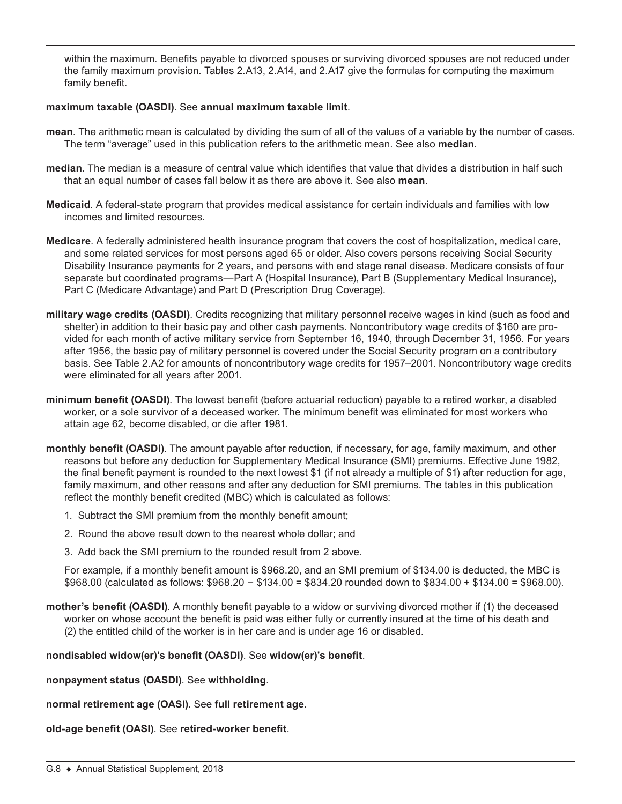within the maximum. Benefits payable to divorced spouses or surviving divorced spouses are not reduced under the family maximum provision. Tables 2.A13, 2.A14, and 2.A17 give the formulas for computing the maximum family benefit.

## **maximum taxable (OASDI)**. See **annual maximum taxable limit**.

- **mean**. The arithmetic mean is calculated by dividing the sum of all of the values of a variable by the number of cases. The term "average" used in this publication refers to the arithmetic mean. See also **median**.
- **median**. The median is a measure of central value which identifies that value that divides a distribution in half such that an equal number of cases fall below it as there are above it. See also **mean**.
- **Medicaid**. A federal-state program that provides medical assistance for certain individuals and families with low incomes and limited resources.
- **Medicare**. A federally administered health insurance program that covers the cost of hospitalization, medical care, and some related services for most persons aged 65 or older. Also covers persons receiving Social Security Disability Insurance payments for 2 years, and persons with end stage renal disease. Medicare consists of four separate but coordinated programs—Part A (Hospital Insurance), Part B (Supplementary Medical Insurance), Part C (Medicare Advantage) and Part D (Prescription Drug Coverage).
- **military wage credits (OASDI)**. Credits recognizing that military personnel receive wages in kind (such as food and shelter) in addition to their basic pay and other cash payments. Noncontributory wage credits of \$160 are provided for each month of active military service from September 16, 1940, through December 31, 1956. For years after 1956, the basic pay of military personnel is covered under the Social Security program on a contributory basis. See Table 2.A2 for amounts of noncontributory wage credits for 1957–2001. Noncontributory wage credits were eliminated for all years after 2001.
- **minimum benefit (OASDI)**. The lowest benefit (before actuarial reduction) payable to a retired worker, a disabled worker, or a sole survivor of a deceased worker. The minimum benefit was eliminated for most workers who attain age 62, become disabled, or die after 1981.
- **monthly benefit (OASDI)**. The amount payable after reduction, if necessary, for age, family maximum, and other reasons but before any deduction for Supplementary Medical Insurance (SMI) premiums. Effective June 1982, the final benefit payment is rounded to the next lowest \$1 (if not already a multiple of \$1) after reduction for age, family maximum, and other reasons and after any deduction for SMI premiums. The tables in this publication reflect the monthly benefit credited (MBC) which is calculated as follows:
	- 1. Subtract the SMI premium from the monthly benefit amount;
	- 2. Round the above result down to the nearest whole dollar; and
	- 3. Add back the SMI premium to the rounded result from 2 above.

For example, if a monthly benefit amount is \$968.20, and an SMI premium of \$134.00 is deducted, the MBC is \$968.00 (calculated as follows: \$968.20 *−* \$134.00 = \$834.20 rounded down to \$834.00 + \$134.00 = \$968.00).

**mother's benefit (OASDI)**. A monthly benefit payable to a widow or surviving divorced mother if (1) the deceased worker on whose account the benefit is paid was either fully or currently insured at the time of his death and (2) the entitled child of the worker is in her care and is under age 16 or disabled.

## **nondisabled widow(er)'s benefit (OASDI)**. See **widow(er)'s benefit**.

- **nonpayment status (OASDI)**. See **withholding**.
- **normal retirement age (OASI)**. See **full retirement age**.
- **old-age benefit (OASI)**. See **retired-worker benefit**.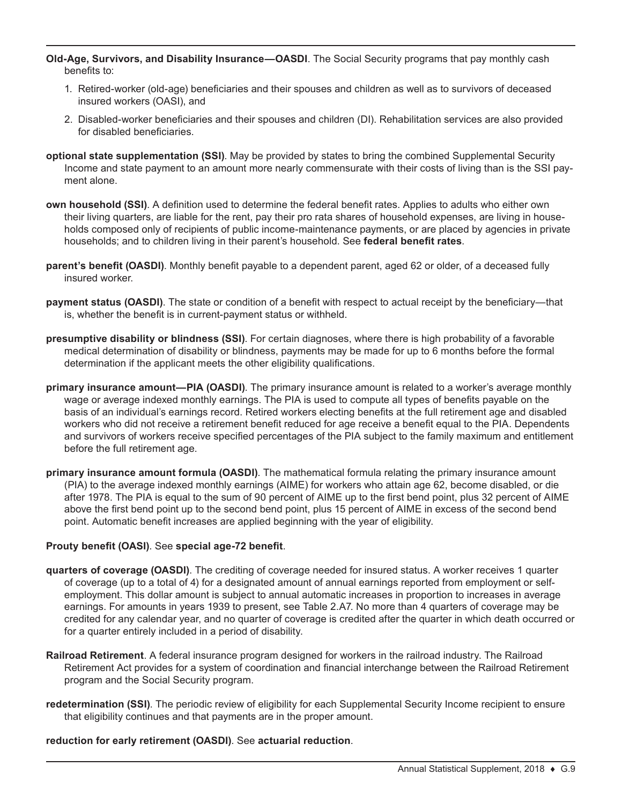**Old-Age, Survivors, and Disability Insurance—OASDI**. The Social Security programs that pay monthly cash benefits to:

- 1. Retired-worker (old-age) beneficiaries and their spouses and children as well as to survivors of deceased insured workers (OASI), and
- 2. Disabled-worker beneficiaries and their spouses and children (DI). Rehabilitation services are also provided for disabled beneficiaries.
- **optional state supplementation (SSI)**. May be provided by states to bring the combined Supplemental Security Income and state payment to an amount more nearly commensurate with their costs of living than is the SSI payment alone.
- **own household (SSI)**. A definition used to determine the federal benefit rates. Applies to adults who either own their living quarters, are liable for the rent, pay their pro rata shares of household expenses, are living in households composed only of recipients of public income-maintenance payments, or are placed by agencies in private households; and to children living in their parent's household. See **federal benefit rates**.
- **parent's benefit (OASDI)**. Monthly benefit payable to a dependent parent, aged 62 or older, of a deceased fully insured worker.
- **payment status (OASDI)**. The state or condition of a benefit with respect to actual receipt by the beneficiary—that is, whether the benefit is in current-payment status or withheld.
- **presumptive disability or blindness (SSI)**. For certain diagnoses, where there is high probability of a favorable medical determination of disability or blindness, payments may be made for up to 6 months before the formal determination if the applicant meets the other eligibility qualifications.
- **primary insurance amount—PIA (OASDI)**. The primary insurance amount is related to a worker's average monthly wage or average indexed monthly earnings. The PIA is used to compute all types of benefits payable on the basis of an individual's earnings record. Retired workers electing benefits at the full retirement age and disabled workers who did not receive a retirement benefit reduced for age receive a benefit equal to the PIA. Dependents and survivors of workers receive specified percentages of the PIA subject to the family maximum and entitlement before the full retirement age.
- **primary insurance amount formula (OASDI)**. The mathematical formula relating the primary insurance amount (PIA) to the average indexed monthly earnings (AIME) for workers who attain age 62, become disabled, or die after 1978. The PIA is equal to the sum of 90 percent of AIME up to the first bend point, plus 32 percent of AIME above the first bend point up to the second bend point, plus 15 percent of AIME in excess of the second bend point. Automatic benefit increases are applied beginning with the year of eligibility.

#### **Prouty benefit (OASI)**. See **special age-72 benefit**.

- **quarters of coverage (OASDI)**. The crediting of coverage needed for insured status. A worker receives 1 quarter of coverage (up to a total of 4) for a designated amount of annual earnings reported from employment or selfemployment. This dollar amount is subject to annual automatic increases in proportion to increases in average earnings. For amounts in years 1939 to present, see Table 2.A7. No more than 4 quarters of coverage may be credited for any calendar year, and no quarter of coverage is credited after the quarter in which death occurred or for a quarter entirely included in a period of disability.
- **Railroad Retirement**. A federal insurance program designed for workers in the railroad industry. The Railroad Retirement Act provides for a system of coordination and financial interchange between the Railroad Retirement program and the Social Security program.
- **redetermination (SSI)**. The periodic review of eligibility for each Supplemental Security Income recipient to ensure that eligibility continues and that payments are in the proper amount.

#### **reduction for early retirement (OASDI)**. See **actuarial reduction**.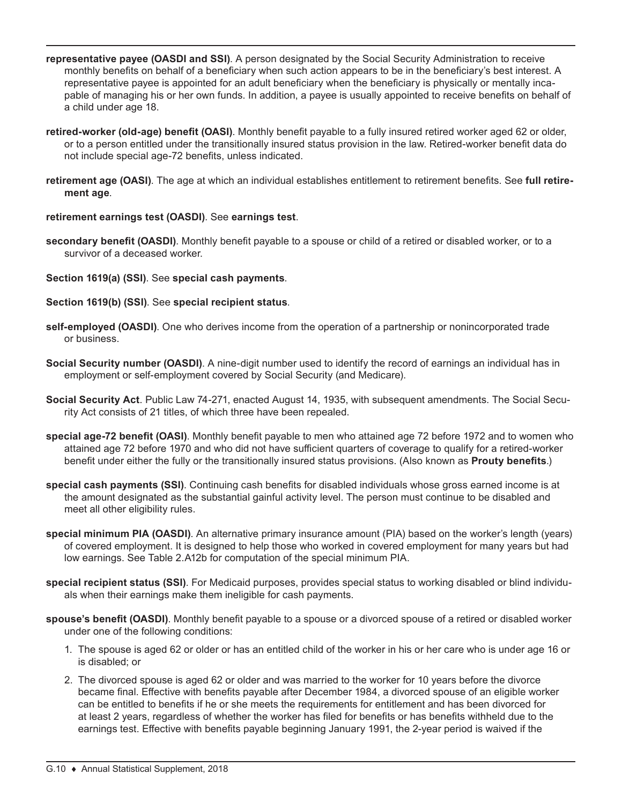- **representative payee (OASDI and SSI)**. A person designated by the Social Security Administration to receive monthly benefits on behalf of a beneficiary when such action appears to be in the beneficiary's best interest. A representative payee is appointed for an adult beneficiary when the beneficiary is physically or mentally incapable of managing his or her own funds. In addition, a payee is usually appointed to receive benefits on behalf of a child under age 18.
- **retired-worker (old-age) benefit (OASI)**. Monthly benefit payable to a fully insured retired worker aged 62 or older, or to a person entitled under the transitionally insured status provision in the law. Retired-worker benefit data do not include special age-72 benefits, unless indicated.
- **retirement age (OASI)**. The age at which an individual establishes entitlement to retirement benefits. See **full retirement age**.

## **retirement earnings test (OASDI)**. See **earnings test**.

- **secondary benefit (OASDI)**. Monthly benefit payable to a spouse or child of a retired or disabled worker, or to a survivor of a deceased worker.
- **Section 1619(a) (SSI)**. See **special cash payments**.
- **Section 1619(b) (SSI)**. See **special recipient status**.
- **self-employed (OASDI)**. One who derives income from the operation of a partnership or nonincorporated trade or business.
- **Social Security number (OASDI)**. A nine-digit number used to identify the record of earnings an individual has in employment or self-employment covered by Social Security (and Medicare).
- **Social Security Act**. Public Law 74-271, enacted August 14, 1935, with subsequent amendments. The Social Security Act consists of 21 titles, of which three have been repealed.
- **special age-72 benefit (OASI)**. Monthly benefit payable to men who attained age 72 before 1972 and to women who attained age 72 before 1970 and who did not have sufficient quarters of coverage to qualify for a retired-worker benefit under either the fully or the transitionally insured status provisions. (Also known as **Prouty benefits**.)
- **special cash payments (SSI)**. Continuing cash benefits for disabled individuals whose gross earned income is at the amount designated as the substantial gainful activity level. The person must continue to be disabled and meet all other eligibility rules.
- **special minimum PIA (OASDI)**. An alternative primary insurance amount (PIA) based on the worker's length (years) of covered employment. It is designed to help those who worked in covered employment for many years but had low earnings. See Table 2.A12b for computation of the special minimum PIA.
- **special recipient status (SSI)**. For Medicaid purposes, provides special status to working disabled or blind individuals when their earnings make them ineligible for cash payments.
- **spouse's benefit (OASDI)**. Monthly benefit payable to a spouse or a divorced spouse of a retired or disabled worker under one of the following conditions:
	- 1. The spouse is aged 62 or older or has an entitled child of the worker in his or her care who is under age 16 or is disabled; or
	- 2. The divorced spouse is aged 62 or older and was married to the worker for 10 years before the divorce became final. Effective with benefits payable after December 1984, a divorced spouse of an eligible worker can be entitled to benefits if he or she meets the requirements for entitlement and has been divorced for at least 2 years, regardless of whether the worker has filed for benefits or has benefits withheld due to the earnings test. Effective with benefits payable beginning January 1991, the 2-year period is waived if the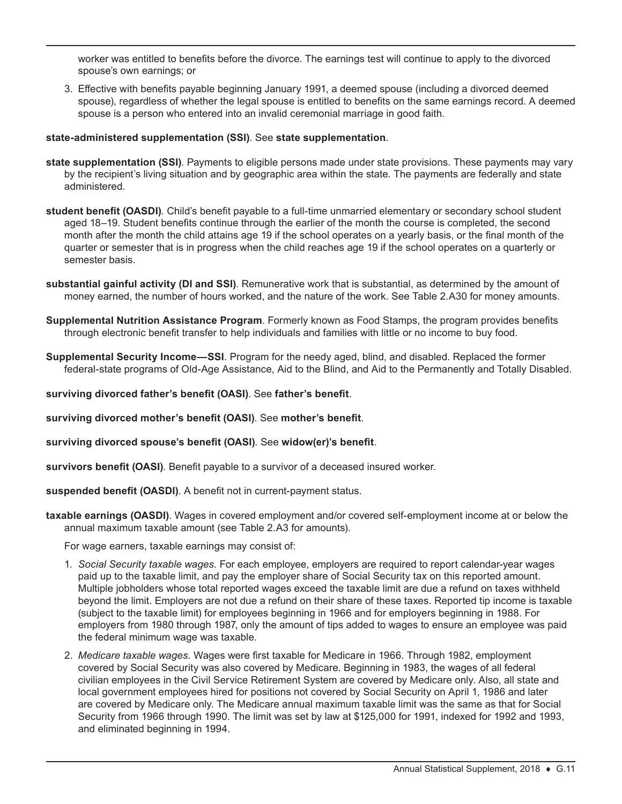worker was entitled to benefits before the divorce. The earnings test will continue to apply to the divorced spouse's own earnings; or

3. Effective with benefits payable beginning January 1991, a deemed spouse (including a divorced deemed spouse), regardless of whether the legal spouse is entitled to benefits on the same earnings record. A deemed spouse is a person who entered into an invalid ceremonial marriage in good faith.

## **state-administered supplementation (SSI)**. See **state supplementation**.

- **state supplementation (SSI)**. Payments to eligible persons made under state provisions. These payments may vary by the recipient's living situation and by geographic area within the state. The payments are federally and state administered.
- **student benefit (OASDI)**. Child's benefit payable to a full-time unmarried elementary or secondary school student aged 18–19. Student benefits continue through the earlier of the month the course is completed, the second month after the month the child attains age 19 if the school operates on a yearly basis, or the final month of the quarter or semester that is in progress when the child reaches age 19 if the school operates on a quarterly or semester basis.
- **substantial gainful activity (DI and SSI)**. Remunerative work that is substantial, as determined by the amount of money earned, the number of hours worked, and the nature of the work. See Table 2.A30 for money amounts.
- **Supplemental Nutrition Assistance Program**. Formerly known as Food Stamps, the program provides benefits through electronic benefit transfer to help individuals and families with little or no income to buy food.
- **Supplemental Security Income—SSI**. Program for the needy aged, blind, and disabled. Replaced the former federal-state programs of Old-Age Assistance, Aid to the Blind, and Aid to the Permanently and Totally Disabled.
- **surviving divorced father's benefit (OASI)**. See **father's benefit**.
- **surviving divorced mother's benefit (OASI)**. See **mother's benefit**.

**surviving divorced spouse's benefit (OASI)**. See **widow(er)'s benefit**.

**survivors benefit (OASI)**. Benefit payable to a survivor of a deceased insured worker.

**suspended benefit (OASDI)**. A benefit not in current-payment status.

**taxable earnings (OASDI)**. Wages in covered employment and/or covered self-employment income at or below the annual maximum taxable amount (see Table 2.A3 for amounts).

For wage earners, taxable earnings may consist of:

- 1. *Social Security taxable wages.* For each employee, employers are required to report calendar-year wages paid up to the taxable limit, and pay the employer share of Social Security tax on this reported amount. Multiple jobholders whose total reported wages exceed the taxable limit are due a refund on taxes withheld beyond the limit. Employers are not due a refund on their share of these taxes. Reported tip income is taxable (subject to the taxable limit) for employees beginning in 1966 and for employers beginning in 1988. For employers from 1980 through 1987, only the amount of tips added to wages to ensure an employee was paid the federal minimum wage was taxable.
- 2. *Medicare taxable wages.* Wages were first taxable for Medicare in 1966. Through 1982, employment covered by Social Security was also covered by Medicare. Beginning in 1983, the wages of all federal civilian employees in the Civil Service Retirement System are covered by Medicare only. Also, all state and local government employees hired for positions not covered by Social Security on April 1, 1986 and later are covered by Medicare only. The Medicare annual maximum taxable limit was the same as that for Social Security from 1966 through 1990. The limit was set by law at \$125,000 for 1991, indexed for 1992 and 1993, and eliminated beginning in 1994.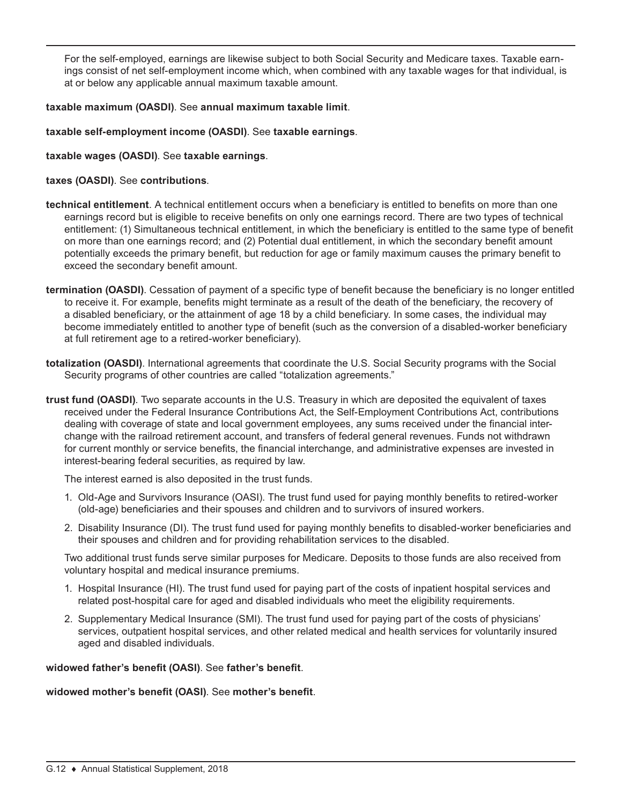For the self-employed, earnings are likewise subject to both Social Security and Medicare taxes. Taxable earnings consist of net self-employment income which, when combined with any taxable wages for that individual, is at or below any applicable annual maximum taxable amount.

# **taxable maximum (OASDI)**. See **annual maximum taxable limit**.

# **taxable self-employment income (OASDI)**. See **taxable earnings**.

# **taxable wages (OASDI)**. See **taxable earnings**.

# **taxes (OASDI)**. See **contributions**.

- **technical entitlement**. A technical entitlement occurs when a beneficiary is entitled to benefits on more than one earnings record but is eligible to receive benefits on only one earnings record. There are two types of technical entitlement: (1) Simultaneous technical entitlement, in which the beneficiary is entitled to the same type of benefit on more than one earnings record; and (2) Potential dual entitlement, in which the secondary benefit amount potentially exceeds the primary benefit, but reduction for age or family maximum causes the primary benefit to exceed the secondary benefit amount.
- **termination (OASDI)**. Cessation of payment of a specific type of benefit because the beneficiary is no longer entitled to receive it. For example, benefits might terminate as a result of the death of the beneficiary, the recovery of a disabled beneficiary, or the attainment of age 18 by a child beneficiary. In some cases, the individual may become immediately entitled to another type of benefit (such as the conversion of a disabled-worker beneficiary at full retirement age to a retired-worker beneficiary).
- **totalization (OASDI)**. International agreements that coordinate the U.S. Social Security programs with the Social Security programs of other countries are called "totalization agreements."
- **trust fund (OASDI)**. Two separate accounts in the U.S. Treasury in which are deposited the equivalent of taxes received under the Federal Insurance Contributions Act, the Self-Employment Contributions Act, contributions dealing with coverage of state and local government employees, any sums received under the financial interchange with the railroad retirement account, and transfers of federal general revenues. Funds not withdrawn for current monthly or service benefits, the financial interchange, and administrative expenses are invested in interest-bearing federal securities, as required by law.

The interest earned is also deposited in the trust funds.

- 1. Old-Age and Survivors Insurance (OASI). The trust fund used for paying monthly benefits to retired-worker (old-age) beneficiaries and their spouses and children and to survivors of insured workers.
- 2. Disability Insurance (DI). The trust fund used for paying monthly benefits to disabled-worker beneficiaries and their spouses and children and for providing rehabilitation services to the disabled.

Two additional trust funds serve similar purposes for Medicare. Deposits to those funds are also received from voluntary hospital and medical insurance premiums.

- 1. Hospital Insurance (HI). The trust fund used for paying part of the costs of inpatient hospital services and related post-hospital care for aged and disabled individuals who meet the eligibility requirements.
- 2. Supplementary Medical Insurance (SMI). The trust fund used for paying part of the costs of physicians' services, outpatient hospital services, and other related medical and health services for voluntarily insured aged and disabled individuals.

## **widowed father's benefit (OASI)**. See **father's benefit**.

# **widowed mother's benefit (OASI)**. See **mother's benefit**.